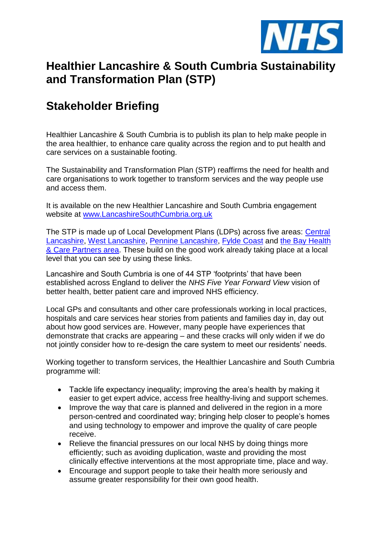

# **Healthier Lancashire & South Cumbria Sustainability and Transformation Plan (STP)**

# **Stakeholder Briefing**

Healthier Lancashire & South Cumbria is to publish its plan to help make people in the area healthier, to enhance care quality across the region and to put health and care services on a sustainable footing.

The Sustainability and Transformation Plan (STP) reaffirms the need for health and care organisations to work together to transform services and the way people use and access them.

It is available on the new Healthier Lancashire and South Cumbria engagement website at [www.LancashireSouthCumbria.org.uk](http://www.lancashiresouthcumbria.org.uk/)

The STP is made up of Local Development Plans (LDPs) across five areas: [Central](http://www.ourhealthourcarecl.nhs.uk/)  [Lancashire,](http://www.ourhealthourcarecl.nhs.uk/) [West Lancashire,](http://www.westlancashireccg.nhs.uk/have-your-say/community-health-services/) [Pennine Lancashire,](http://www.togetherahealthierfuture.org.uk/) [Fylde Coast](http://www.yourcareourpriority.nhs.uk/) and [the Bay Health](http://www.bettercaretogether.co.uk/)  [& Care Partners ar](http://www.bettercaretogether.co.uk/)ea. These build on the good work already taking place at a local level that you can see by using these links.

Lancashire and South Cumbria is one of 44 STP 'footprints' that have been established across England to deliver the *NHS Five Year Forward View* vision of better health, better patient care and improved NHS efficiency.

Local GPs and consultants and other care professionals working in local practices, hospitals and care services hear stories from patients and families day in, day out about how good services are. However, many people have experiences that demonstrate that cracks are appearing – and these cracks will only widen if we do not jointly consider how to re-design the care system to meet our residents' needs.

Working together to transform services, the Healthier Lancashire and South Cumbria programme will:

- Tackle life expectancy inequality; improving the area's health by making it easier to get expert advice, access free healthy-living and support schemes.
- Improve the way that care is planned and delivered in the region in a more person-centred and coordinated way; bringing help closer to people's homes and using technology to empower and improve the quality of care people receive.
- Relieve the financial pressures on our local NHS by doing things more efficiently; such as avoiding duplication, waste and providing the most clinically effective interventions at the most appropriate time, place and way.
- Encourage and support people to take their health more seriously and assume greater responsibility for their own good health.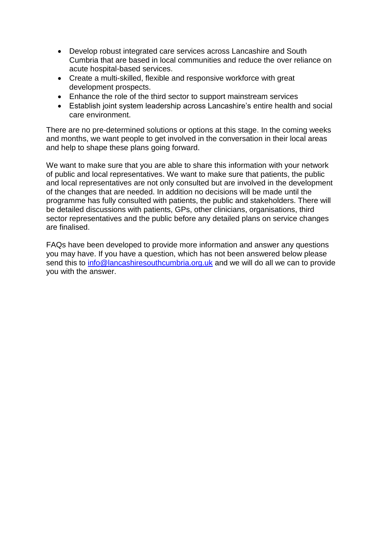- Develop robust integrated care services across Lancashire and South Cumbria that are based in local communities and reduce the over reliance on acute hospital-based services.
- Create a multi-skilled, flexible and responsive workforce with great development prospects.
- Enhance the role of the third sector to support mainstream services
- Establish joint system leadership across Lancashire's entire health and social care environment.

There are no pre-determined solutions or options at this stage. In the coming weeks and months, we want people to get involved in the conversation in their local areas and help to shape these plans going forward.

We want to make sure that you are able to share this information with your network of public and local representatives. We want to make sure that patients, the public and local representatives are not only consulted but are involved in the development of the changes that are needed. In addition no decisions will be made until the programme has fully consulted with patients, the public and stakeholders. There will be detailed discussions with patients, GPs, other clinicians, organisations, third sector representatives and the public before any detailed plans on service changes are finalised.

FAQs have been developed to provide more information and answer any questions you may have. If you have a question, which has not been answered below please send this to [info@lancashiresouthcumbria.org.uk](mailto:info@lancashiresouthcumbria.org.uk) and we will do all we can to provide you with the answer.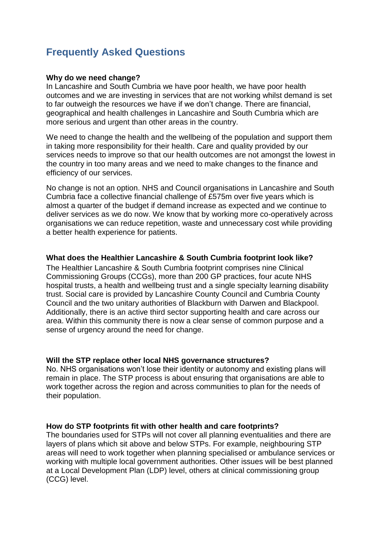# **Frequently Asked Questions**

#### **Why do we need change?**

In Lancashire and South Cumbria we have poor health, we have poor health outcomes and we are investing in services that are not working whilst demand is set to far outweigh the resources we have if we don't change. There are financial, geographical and health challenges in Lancashire and South Cumbria which are more serious and urgent than other areas in the country.

We need to change the health and the wellbeing of the population and support them in taking more responsibility for their health. Care and quality provided by our services needs to improve so that our health outcomes are not amongst the lowest in the country in too many areas and we need to make changes to the finance and efficiency of our services.

No change is not an option. NHS and Council organisations in Lancashire and South Cumbria face a collective financial challenge of £575m over five years which is almost a quarter of the budget if demand increase as expected and we continue to deliver services as we do now. We know that by working more co-operatively across organisations we can reduce repetition, waste and unnecessary cost while providing a better health experience for patients.

# **What does the Healthier Lancashire & South Cumbria footprint look like?**

The Healthier Lancashire & South Cumbria footprint comprises nine Clinical Commissioning Groups (CCGs), more than 200 GP practices, four acute NHS hospital trusts, a health and wellbeing trust and a single specialty learning disability trust. Social care is provided by Lancashire County Council and Cumbria County Council and the two unitary authorities of Blackburn with Darwen and Blackpool. Additionally, there is an active third sector supporting health and care across our area. Within this community there is now a clear sense of common purpose and a sense of urgency around the need for change.

#### **Will the STP replace other local NHS governance structures?**

No. NHS organisations won't lose their identity or autonomy and existing plans will remain in place. The STP process is about ensuring that organisations are able to work together across the region and across communities to plan for the needs of their population.

#### **How do STP footprints fit with other health and care footprints?**

The boundaries used for STPs will not cover all planning eventualities and there are layers of plans which sit above and below STPs. For example, neighbouring STP areas will need to work together when planning specialised or ambulance services or working with multiple local government authorities. Other issues will be best planned at a Local Development Plan (LDP) level, others at clinical commissioning group (CCG) level.